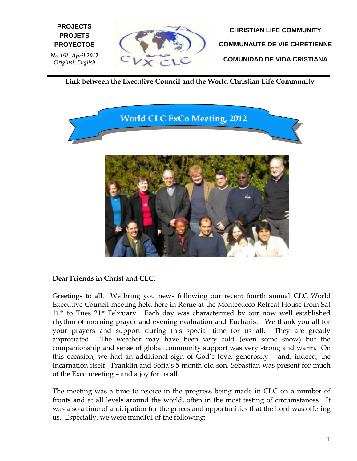

**CHRISTIAN LIFE COMMUNITY COMMUNAUTÉ DE VIE CHRÉTIENNE COMUNIDAD DE VIDA CRISTIANA**

**Link between the Executive Council and the World Christian Life Community**



#### **Dear Friends in Christ and CLC,**

**E PROYECTOS**

*No.151, April 2012 Original: English*

**PROJECTS PROJETS**

Greetings to all. We bring you news following our recent fourth annual CLC World Executive Council meeting held here in Rome at the Montecucco Retreat House from Sat 11<sup>th</sup> to Tues 21<sup>st</sup> February. Each day was characterized by our now well established rhythm of morning prayer and evening evaluation and Eucharist. We thank you all for your prayers and support during this special time for us all. They are greatly appreciated. The weather may have been very cold (even some snow) but the companionship and sense of global community support was very strong and warm. On this occasion, we had an additional sign of God's love, generosity – and, indeed, the Incarnation itself. Franklin and Sofia's 5 month old son, Sebastian was present for much of the Exco meeting – and a joy for us all.

The meeting was a time to rejoice in the progress being made in CLC on a number of fronts and at all levels around the world, often in the most testing of circumstances. It was also a time of anticipation for the graces and opportunities that the Lord was offering us. Especially, we were mindful of the following: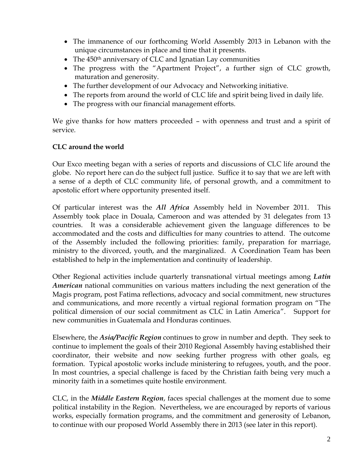- The immanence of our forthcoming World Assembly 2013 in Lebanon with the unique circumstances in place and time that it presents.
- $\bullet$  The 450<sup>th</sup> anniversary of CLC and Ignatian Lay communities
- The progress with the "Apartment Project", a further sign of CLC growth, maturation and generosity.
- The further development of our Advocacy and Networking initiative.
- The reports from around the world of CLC life and spirit being lived in daily life.
- The progress with our financial management efforts.

We give thanks for how matters proceeded – with openness and trust and a spirit of service.

#### **CLC around the world**

Our Exco meeting began with a series of reports and discussions of CLC life around the globe. No report here can do the subject full justice. Suffice it to say that we are left with a sense of a depth of CLC community life, of personal growth, and a commitment to apostolic effort where opportunity presented itself.

Of particular interest was the *All Africa* Assembly held in November 2011. This Assembly took place in Douala, Cameroon and was attended by 31 delegates from 13 countries. It was a considerable achievement given the language differences to be accommodated and the costs and difficulties for many countries to attend. The outcome of the Assembly included the following priorities: family, preparation for marriage, ministry to the divorced, youth, and the marginalized. A Coordination Team has been established to help in the implementation and continuity of leadership.

Other Regional activities include quarterly transnational virtual meetings among *Latin American* national communities on various matters including the next generation of the Magis program, post Fatima reflections, advocacy and social commitment, new structures and communications, and more recently a virtual regional formation program on "The political dimension of our social commitment as CLC in Latin America". Support for new communities in Guatemala and Honduras continues.

Elsewhere, the *Asia/Pacific Region* continues to grow in number and depth. They seek to continue to implement the goals of their 2010 Regional Assembly having established their coordinator, their website and now seeking further progress with other goals, eg formation. Typical apostolic works include ministering to refugees, youth, and the poor. In most countries, a special challenge is faced by the Christian faith being very much a minority faith in a sometimes quite hostile environment.

CLC, in the *Middle Eastern Region*, faces special challenges at the moment due to some political instability in the Region. Nevertheless, we are encouraged by reports of various works, especially formation programs, and the commitment and generosity of Lebanon, to continue with our proposed World Assembly there in 2013 (see later in this report).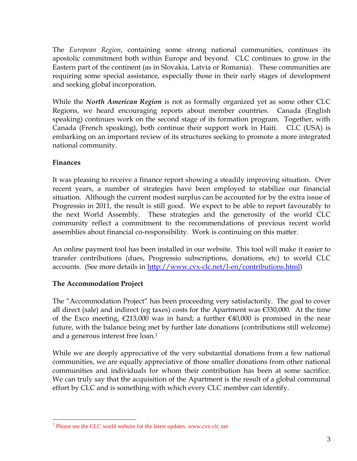The *European Region*, containing some strong national communities, continues its apostolic commitment both within Europe and beyond. CLC continues to grow in the Eastern part of the continent (as in Slovakia, Latvia or Romania). These communities are requiring some special assistance, especially those in their early stages of development and seeking global incorporation.

While the *North American Region* is not as formally organized yet as some other CLC Regions, we heard encouraging reports about member countries. Canada (English speaking) continues work on the second stage of its formation program. Together, with Canada (French speaking), both continue their support work in Haiti. CLC (USA) is embarking on an important review of its structures seeking to promote a more integrated national community.

#### **Finances**

 $\overline{a}$ 

It was pleasing to receive a finance report showing a steadily improving situation. Over recent years, a number of strategies have been employed to stabilize our financial situation. Although the current modest surplus can be accounted for by the extra issue of Progressio in 2011, the result is still good. We expect to be able to report favourably to the next World Assembly. These strategies and the generosity of the world CLC community reflect a commitment to the recommendations of previous recent world assemblies about financial co-responsibility. Work is continuing on this matter.

An online payment tool has been installed in our website. This tool will make it easier to transfer contributions (dues, Progressio subscriptions, donations, etc) to world CLC accounts. (See more details in [http://www.cvx-clc.net/l-en/contributions.html\)](http://www.cvx-clc.net/l-en/contributions.html)

#### **The Accommodation Project**

The "Accommodation Project" has been proceeding very satisfactorily. The goal to cover all direct (sale) and indirect (eg taxes) costs for the Apartment was  $\epsilon$ 330,000. At the time of the Exco meeting,  $\epsilon$ 213,000 was in hand; a further  $\epsilon$ 40,000 is promised in the near future, with the balance being met by further late donations (contributions still welcome) and a generous interest free loan.<sup>1</sup>

While we are deeply appreciative of the very substantial donations from a few national communities, we are equally appreciative of those smaller donations from other national communities and individuals for whom their contribution has been at some sacrifice. We can truly say that the acquisition of the Apartment is the result of a global communal effort by CLC and is something with which every CLC member can identify.

<sup>&</sup>lt;sup>1</sup> Please see the CLC world website for the latest updates. www.cvx-clc.net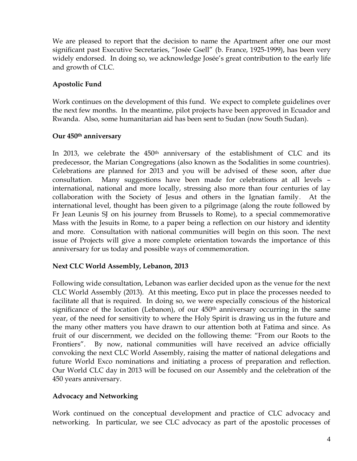We are pleased to report that the decision to name the Apartment after one our most significant past Executive Secretaries, "Josée Gsell" (b. France, 1925-1999), has been very widely endorsed. In doing so, we acknowledge Josée's great contribution to the early life and growth of CLC.

## **Apostolic Fund**

Work continues on the development of this fund. We expect to complete guidelines over the next few months. In the meantime, pilot projects have been approved in Ecuador and Rwanda. Also, some humanitarian aid has been sent to Sudan (now South Sudan).

#### **Our 450th anniversary**

In 2013, we celebrate the  $450<sup>th</sup>$  anniversary of the establishment of CLC and its predecessor, the Marian Congregations (also known as the Sodalities in some countries). Celebrations are planned for 2013 and you will be advised of these soon, after due consultation. Many suggestions have been made for celebrations at all levels – international, national and more locally, stressing also more than four centuries of lay collaboration with the Society of Jesus and others in the Ignatian family. At the international level, thought has been given to a pilgrimage (along the route followed by Fr Jean Leunis SJ on his journey from Brussels to Rome), to a special commemorative Mass with the Jesuits in Rome, to a paper being a reflection on our history and identity and more. Consultation with national communities will begin on this soon. The next issue of Projects will give a more complete orientation towards the importance of this anniversary for us today and possible ways of commemoration.

# **Next CLC World Assembly, Lebanon, 2013**

Following wide consultation, Lebanon was earlier decided upon as the venue for the next CLC World Assembly (2013). At this meeting, Exco put in place the processes needed to facilitate all that is required. In doing so, we were especially conscious of the historical significance of the location (Lebanon), of our  $450<sup>th</sup>$  anniversary occurring in the same year, of the need for sensitivity to where the Holy Spirit is drawing us in the future and the many other matters you have drawn to our attention both at Fatima and since. As fruit of our discernment, we decided on the following theme: "From our Roots to the Frontiers". By now, national communities will have received an advice officially convoking the next CLC World Assembly, raising the matter of national delegations and future World Exco nominations and initiating a process of preparation and reflection. Our World CLC day in 2013 will be focused on our Assembly and the celebration of the 450 years anniversary.

#### **Advocacy and Networking**

Work continued on the conceptual development and practice of CLC advocacy and networking. In particular, we see CLC advocacy as part of the apostolic processes of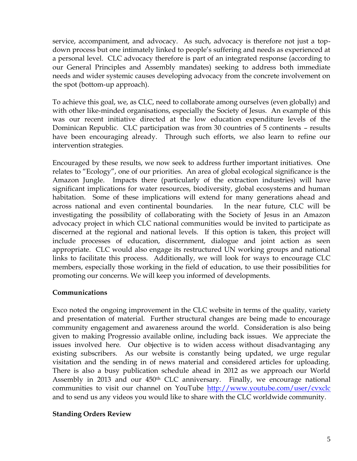service, accompaniment, and advocacy. As such, advocacy is therefore not just a topdown process but one intimately linked to people's suffering and needs as experienced at a personal level. CLC advocacy therefore is part of an integrated response (according to our General Principles and Assembly mandates) seeking to address both immediate needs and wider systemic causes developing advocacy from the concrete involvement on the spot (bottom-up approach).

To achieve this goal, we, as CLC, need to collaborate among ourselves (even globally) and with other like-minded organisations, especially the Society of Jesus. An example of this was our recent initiative directed at the low education expenditure levels of the Dominican Republic. CLC participation was from 30 countries of 5 continents – results have been encouraging already. Through such efforts, we also learn to refine our intervention strategies.

Encouraged by these results, we now seek to address further important initiatives. One relates to "Ecology", one of our priorities. An area of global ecological significance is the Amazon Jungle. Impacts there (particularly of the extraction industries) will have significant implications for water resources, biodiversity, global ecosystems and human habitation. Some of these implications will extend for many generations ahead and across national and even continental boundaries. In the near future, CLC will be investigating the possibility of collaborating with the Society of Jesus in an Amazon advocacy project in which CLC national communities would be invited to participate as discerned at the regional and national levels. If this option is taken, this project will include processes of education, discernment, dialogue and joint action as seen appropriate. CLC would also engage its restructured UN working groups and national links to facilitate this process. Additionally, we will look for ways to encourage CLC members, especially those working in the field of education, to use their possibilities for promoting our concerns. We will keep you informed of developments.

#### **Communications**

Exco noted the ongoing improvement in the CLC website in terms of the quality, variety and presentation of material. Further structural changes are being made to encourage community engagement and awareness around the world. Consideration is also being given to making Progressio available online, including back issues. We appreciate the issues involved here. Our objective is to widen access without disadvantaging any existing subscribers. As our website is constantly being updated, we urge regular visitation and the sending in of news material and considered articles for uploading. There is also a busy publication schedule ahead in 2012 as we approach our World Assembly in 2013 and our 450<sup>th</sup> CLC anniversary. Finally, we encourage national communities to visit our channel on YouTube <http://www.youtube.com/user/cvxclc> and to send us any videos you would like to share with the CLC worldwide community.

#### **Standing Orders Review**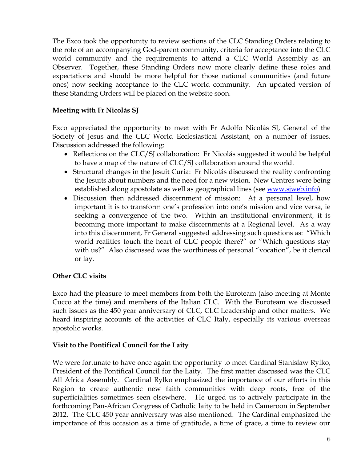The Exco took the opportunity to review sections of the CLC Standing Orders relating to the role of an accompanying God-parent community, criteria for acceptance into the CLC world community and the requirements to attend a CLC World Assembly as an Observer. Together, these Standing Orders now more clearly define these roles and expectations and should be more helpful for those national communities (and future ones) now seeking acceptance to the CLC world community. An updated version of these Standing Orders will be placed on the website soon.

### **Meeting with Fr Nicolás SJ**

Exco appreciated the opportunity to meet with Fr Adolfo Nicolás SJ, General of the Society of Jesus and the CLC World Ecclesiastical Assistant, on a number of issues. Discussion addressed the following:

- Reflections on the CLC/SJ collaboration: Fr Nicolás suggested it would be helpful to have a map of the nature of CLC/SJ collaboration around the world.
- Structural changes in the Jesuit Curia: Fr Nicolás discussed the reality confronting the Jesuits about numbers and the need for a new vision. New Centres were being established along apostolate as well as geographical lines (see [www.sjweb.info\)](http://www.sjweb.info/)
- Discussion then addressed discernment of mission: At a personal level, how important it is to transform one's profession into one's mission and vice versa, ie seeking a convergence of the two. Within an institutional environment, it is becoming more important to make discernments at a Regional level. As a way into this discernment, Fr General suggested addressing such questions as: "Which world realities touch the heart of CLC people there?" or "Which questions stay with us?" Also discussed was the worthiness of personal "vocation", be it clerical or lay.

#### **Other CLC visits**

Exco had the pleasure to meet members from both the Euroteam (also meeting at Monte Cucco at the time) and members of the Italian CLC. With the Euroteam we discussed such issues as the 450 year anniversary of CLC, CLC Leadership and other matters. We heard inspiring accounts of the activities of CLC Italy, especially its various overseas apostolic works.

#### **Visit to the Pontifical Council for the Laity**

We were fortunate to have once again the opportunity to meet Cardinal Stanislaw Rylko, President of the Pontifical Council for the Laity. The first matter discussed was the CLC All Africa Assembly. Cardinal Rylko emphasized the importance of our efforts in this Region to create authentic new faith communities with deep roots, free of the superficialities sometimes seen elsewhere. He urged us to actively participate in the forthcoming Pan-African Congress of Catholic laity to be held in Cameroon in September 2012. The CLC 450 year anniversary was also mentioned. The Cardinal emphasized the importance of this occasion as a time of gratitude, a time of grace, a time to review our